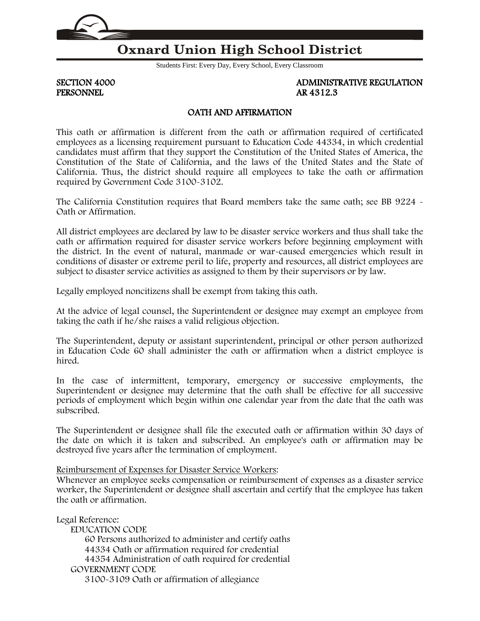

# **Oxnard Union High School District**

Students First: Every Day, Every School, Every Classroom

PERSONNEL

SECTION 4000<br>
PERSONNEL<br>
AR 4312.3<br>
AR 4312.3

### OATH AND AFFIRMATION

This oath or affirmation is different from the oath or affirmation required of certificated employees as a licensing requirement pursuant to Education Code [44334,](http://www.gamutonline.net/displayPolicy/130688/4) in which credential candidates must affirm that they support the Constitution of the United States of America, the Constitution of the State of California, and the laws of the United States and the State of California. Thus, the district should require all employees to take the oath or affirmation required by Government Code [3100](http://www.gamutonline.net/displayPolicy/144396/4)[-3102.](http://www.gamutonline.net/displayPolicy/144398/4)

The California Constitution requires that Board members take the same oath; see BB [9224](http://www.gamutonline.net/displayPolicy/303917/4) - Oath or Affirmation.

All district employees are declared by law to be disaster service workers and thus shall take the oath or affirmation required for disaster service workers before beginning employment with the district. In the event of natural, manmade or war-caused emergencies which result in conditions of disaster or extreme peril to life, property and resources, all district employees are subject to disaster service activities as assigned to them by their supervisors or by law.

Legally employed noncitizens shall be exempt from taking this oath.

At the advice of legal counsel, the Superintendent or designee may exempt an employee from taking the oath if he/she raises a valid religious objection.

The Superintendent, deputy or assistant superintendent, principal or other person authorized in Education Code [60](http://www.gamutonline.net/displayPolicy/128841/4) shall administer the oath or affirmation when a district employee is hired.

In the case of intermittent, temporary, emergency or successive employments, the Superintendent or designee may determine that the oath shall be effective for all successive periods of employment which begin within one calendar year from the date that the oath was subscribed.

The Superintendent or designee shall file the executed oath or affirmation within 30 days of the date on which it is taken and subscribed. An employee's oath or affirmation may be destroyed five years after the termination of employment.

#### Reimbursement of Expenses for Disaster Service Workers:

Whenever an employee seeks compensation or reimbursement of expenses as a disaster service worker, the Superintendent or designee shall ascertain and certify that the employee has taken the oath or affirmation.

Legal Reference: EDUCATION CODE [60](http://www.gamutonline.net/displayPolicy/128841/4) Persons authorized to administer and certify oaths [44334](http://www.gamutonline.net/displayPolicy/130688/4) Oath or affirmation required for credential [44354](http://www.gamutonline.net/displayPolicy/130708/4) Administration of oath required for credential GOVERNMENT CODE [3100-](http://www.gamutonline.net/displayPolicy/144396/4)[3109](http://www.gamutonline.net/displayPolicy/144405/4) Oath or affirmation of allegiance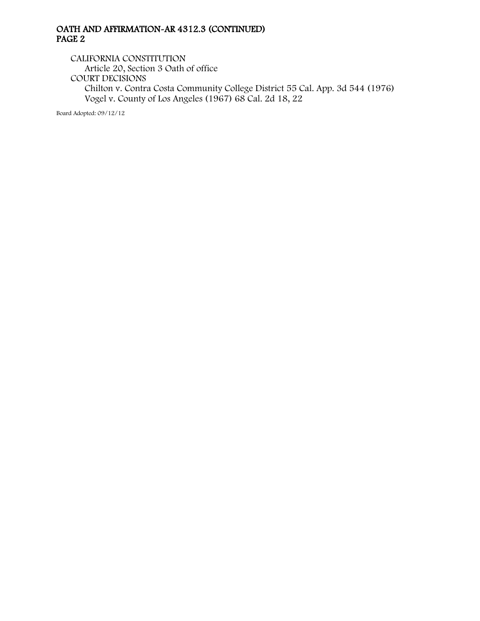### OATH AND AFFIRMATION-AR 4312.3 (CONTINUED) PAGE 2

CALIFORNIA CONSTITUTION Article 20, Section 3 Oath of office COURT DECISIONS Chilton v. Contra Costa Community College District 55 Cal. App. 3d 544 (1976) Vogel v. County of Los Angeles (1967) 68 Cal. 2d 18, 22

Board Adopted: 09/12/12